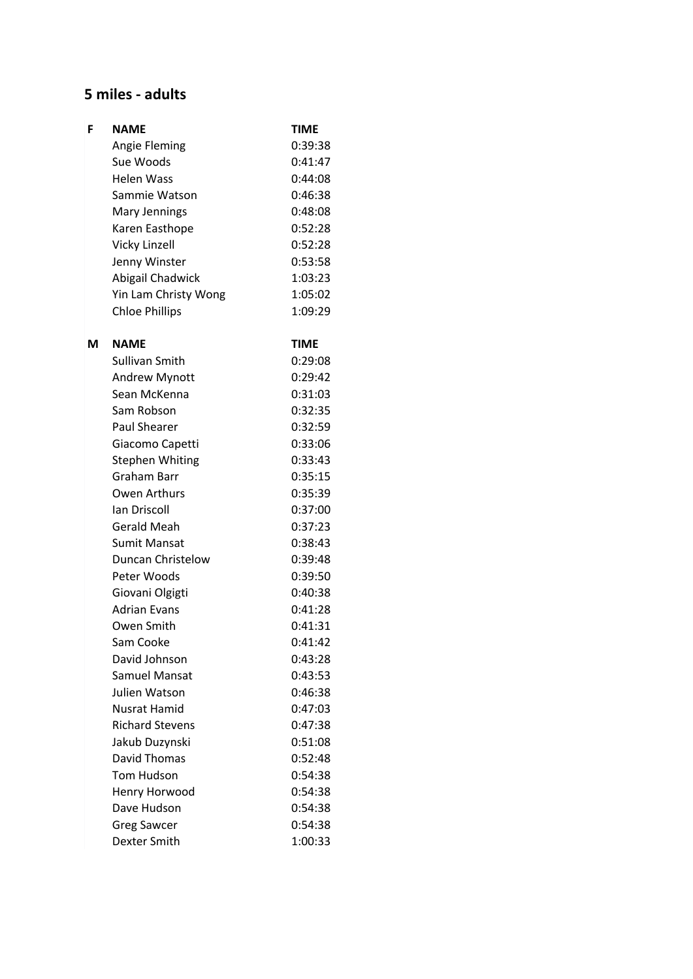#### **5 miles - adults**

| F | <b>NAME</b>            | <b>TIME</b> |
|---|------------------------|-------------|
|   | <b>Angie Fleming</b>   | 0:39:38     |
|   | Sue Woods              | 0:41:47     |
|   | <b>Helen Wass</b>      | 0:44:08     |
|   | Sammie Watson          | 0:46:38     |
|   | Mary Jennings          | 0:48:08     |
|   | Karen Easthope         | 0:52:28     |
|   | <b>Vicky Linzell</b>   | 0:52:28     |
|   | Jenny Winster          | 0:53:58     |
|   | Abigail Chadwick       | 1:03:23     |
|   | Yin Lam Christy Wong   | 1:05:02     |
|   | <b>Chloe Phillips</b>  | 1:09:29     |
| м | <b>NAME</b>            | TIME        |
|   | Sullivan Smith         | 0:29:08     |
|   | <b>Andrew Mynott</b>   | 0:29:42     |
|   | Sean McKenna           | 0:31:03     |
|   | Sam Robson             | 0:32:35     |
|   | <b>Paul Shearer</b>    | 0:32:59     |
|   | Giacomo Capetti        | 0:33:06     |
|   | <b>Stephen Whiting</b> | 0:33:43     |
|   | <b>Graham Barr</b>     | 0:35:15     |
|   | Owen Arthurs           | 0:35:39     |
|   | Ian Driscoll           | 0:37:00     |
|   | Gerald Meah            | 0:37:23     |
|   | <b>Sumit Mansat</b>    | 0:38:43     |
|   | Duncan Christelow      | 0:39:48     |
|   | Peter Woods            | 0:39:50     |
|   | Giovani Olgigti        | 0:40:38     |
|   | <b>Adrian Evans</b>    | 0:41:28     |
|   | Owen Smith             | 0:41:31     |
|   | Sam Cooke              | 0:41:42     |
|   | David Johnson          | 0:43:28     |
|   | Samuel Mansat          | 0:43:53     |
|   | Julien Watson          | 0:46:38     |
|   | Nusrat Hamid           | 0:47:03     |
|   | <b>Richard Stevens</b> | 0:47:38     |
|   | Jakub Duzynski         | 0:51:08     |
|   | <b>David Thomas</b>    | 0:52:48     |
|   | <b>Tom Hudson</b>      | 0:54:38     |
|   | Henry Horwood          | 0:54:38     |
|   | Dave Hudson            | 0:54:38     |
|   | <b>Greg Sawcer</b>     | 0:54:38     |
|   | Dexter Smith           | 1:00:33     |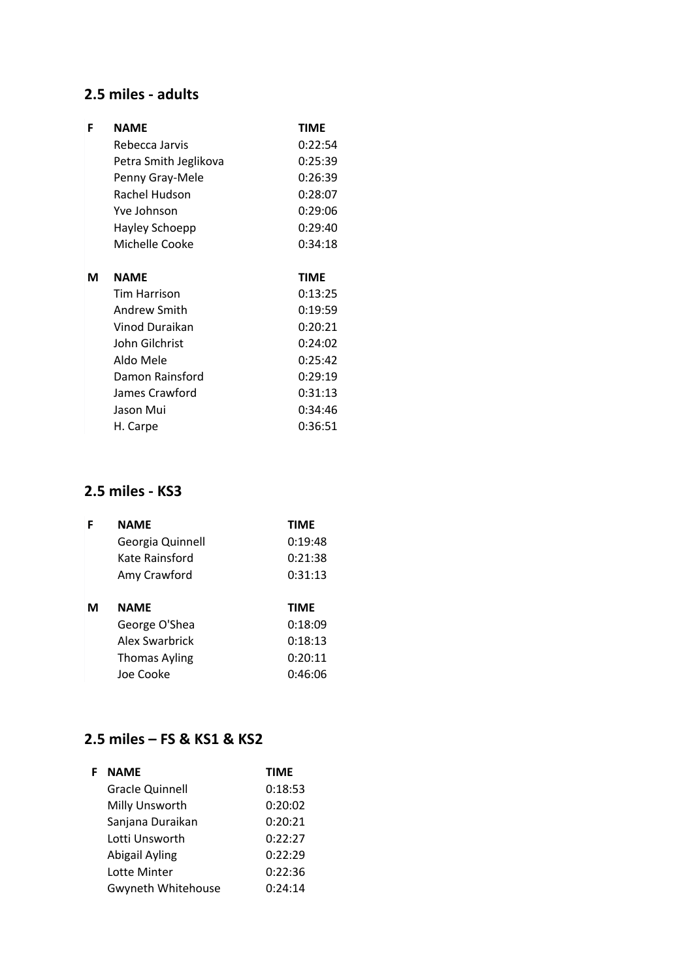## **2.5 miles - adults**

| F | <b>NAME</b>           | <b>TIME</b> |
|---|-----------------------|-------------|
|   | Rebecca Jarvis        | 0:22:54     |
|   | Petra Smith Jeglikova | 0:25:39     |
|   | Penny Gray-Mele       | 0:26:39     |
|   | Rachel Hudson         | 0:28:07     |
|   | Yve Johnson           | 0:29:06     |
|   | Hayley Schoepp        | 0:29:40     |
|   | Michelle Cooke        | 0:34:18     |
|   |                       |             |
| м | <b>NAME</b>           | <b>TIME</b> |
|   | Tim Harrison          | 0:13:25     |
|   | <b>Andrew Smith</b>   | 0:19:59     |
|   | Vinod Duraikan        | 0:20:21     |
|   | John Gilchrist        | 0:24:02     |
|   | Aldo Mele             | 0:25:42     |
|   | Damon Rainsford       | 0:29:19     |
|   | James Crawford        | 0:31:13     |
|   | Jason Mui             | 0:34:46     |
|   | H. Carpe              | 0:36:51     |

### **2.5 miles - KS3**

|   | <b>NAME</b>          | <b>TIME</b> |
|---|----------------------|-------------|
|   | Georgia Quinnell     | 0:19:48     |
|   | Kate Rainsford       | 0:21:38     |
|   | Amy Crawford         | 0:31:13     |
|   |                      |             |
| м | <b>NAME</b>          | <b>TIME</b> |
|   | George O'Shea        | 0:18:09     |
|   | Alex Swarbrick       | 0:18:13     |
|   | <b>Thomas Ayling</b> | 0:20:11     |

## **2.5 miles – FS & KS1 & KS2**

| <b>NAME</b>               | <b>TIME</b> |
|---------------------------|-------------|
| <b>Gracle Quinnell</b>    | 0:18:53     |
| Milly Unsworth            | 0:20:02     |
| Sanjana Duraikan          | 0:20:21     |
| Lotti Unsworth            | 0:22:27     |
| <b>Abigail Ayling</b>     | 0:22:29     |
| Lotte Minter              | 0:22:36     |
| <b>Gwyneth Whitehouse</b> | 0:24:14     |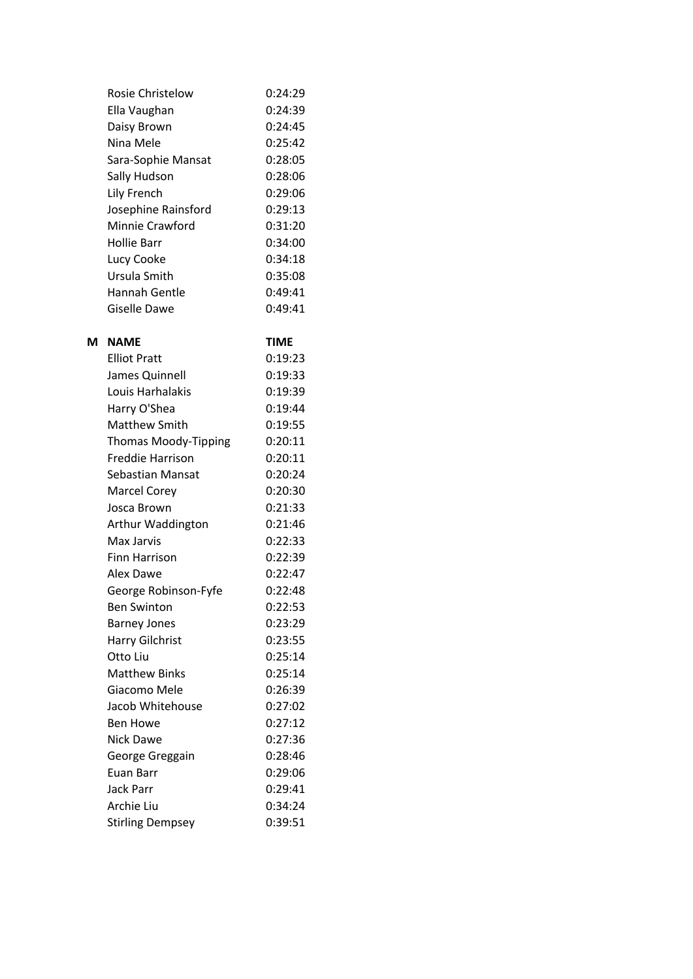|   | Rosie Christelow    | 0:24:29     |
|---|---------------------|-------------|
|   | Ella Vaughan        | 0:24:39     |
|   | Daisy Brown         | 0:24:45     |
|   | Nina Mele           | 0:25:42     |
|   | Sara-Sophie Mansat  | 0:28:05     |
|   | Sally Hudson        | 0:28:06     |
|   | Lily French         | 0:29:06     |
|   | Josephine Rainsford | 0:29:13     |
|   | Minnie Crawford     | 0:31:20     |
|   | Hollie Barr         | 0:34:00     |
|   | Lucy Cooke          | 0:34:18     |
|   | Ursula Smith        | 0:35:08     |
|   | Hannah Gentle       | 0:49:41     |
|   | Giselle Dawe        | 0:49:41     |
|   |                     |             |
| M | <b>NAME</b>         | <b>TIME</b> |
|   | <b>Elliot Pratt</b> | 0:19:23     |
|   | Iames Ouinnell      | ∩∙19∙33     |

| EIIIOL PI dLL               | U. 19.Z3 |
|-----------------------------|----------|
| James Quinnell              | 0:19:33  |
| Louis Harhalakis            | 0:19:39  |
| Harry O'Shea                | 0:19:44  |
| <b>Matthew Smith</b>        | 0:19:55  |
| <b>Thomas Moody-Tipping</b> | 0:20:11  |
| <b>Freddie Harrison</b>     | 0:20:11  |
| <b>Sebastian Mansat</b>     | 0:20:24  |
| <b>Marcel Corey</b>         | 0:20:30  |
| Josca Brown                 | 0:21:33  |
| Arthur Waddington           | 0:21:46  |
| Max Jarvis                  | 0:22:33  |
| <b>Finn Harrison</b>        | 0:22:39  |
| Alex Dawe                   | 0:22:47  |
| George Robinson-Fyfe        | 0:22:48  |
| <b>Ben Swinton</b>          | 0:22:53  |
| <b>Barney Jones</b>         | 0:23:29  |
| <b>Harry Gilchrist</b>      | 0:23:55  |
| Otto Liu                    | 0:25:14  |
| <b>Matthew Binks</b>        | 0:25:14  |
| Giacomo Mele                | 0:26:39  |
| Jacob Whitehouse            | 0:27:02  |
| <b>Ben Howe</b>             | 0:27:12  |
| <b>Nick Dawe</b>            | 0:27:36  |
| George Greggain             | 0:28:46  |
| Euan Barr                   | 0:29:06  |
| <b>Jack Parr</b>            | 0:29:41  |
| Archie Liu                  | 0:34:24  |
| <b>Stirling Dempsey</b>     | 0:39:51  |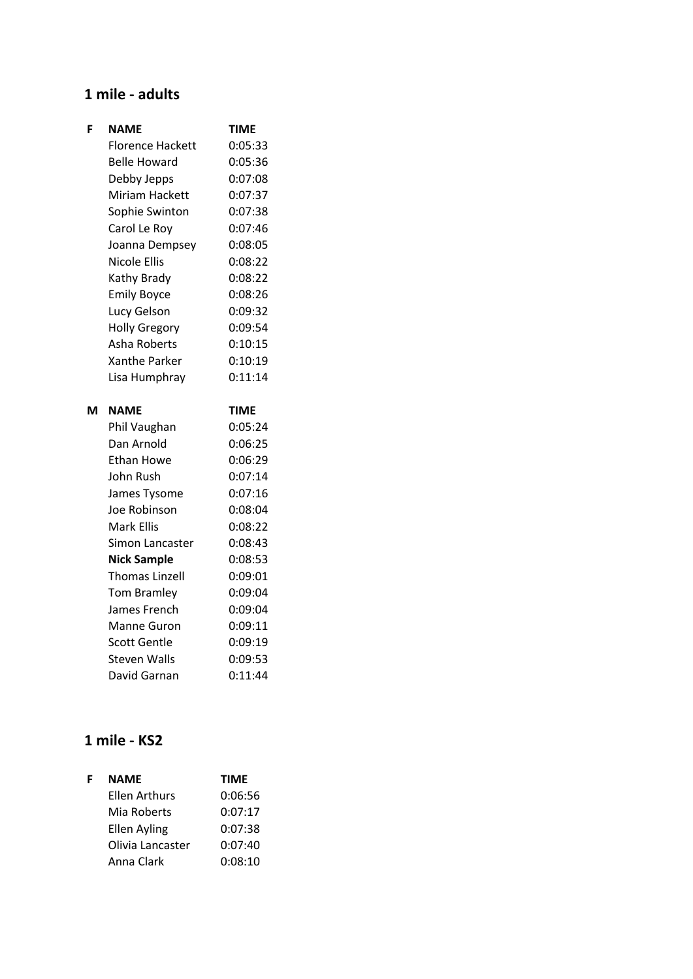#### **1 mile - adults**

| F | <b>NAME</b>                     | <b>TIME</b>        |
|---|---------------------------------|--------------------|
|   | <b>Florence Hackett</b>         | 0:05:33            |
|   | <b>Belle Howard</b>             | 0:05:36            |
|   | Debby Jepps                     | 0:07:08            |
|   | <b>Miriam Hackett</b>           | 0:07:37            |
|   | Sophie Swinton                  | 0:07:38            |
|   | Carol Le Roy                    | 0:07:46            |
|   | Joanna Dempsey                  | 0:08:05            |
|   | <b>Nicole Ellis</b>             | 0:08:22            |
|   | Kathy Brady                     | 0:08:22            |
|   | <b>Emily Boyce</b>              | 0:08:26            |
|   | Lucy Gelson                     | 0:09:32            |
|   | <b>Holly Gregory</b>            | 0:09:54            |
|   | Asha Roberts                    | 0:10:15            |
|   | Xanthe Parker                   | 0:10:19            |
|   | Lisa Humphray                   | 0:11:14            |
|   |                                 |                    |
| м |                                 |                    |
|   | <b>NAME</b>                     | <b>TIME</b>        |
|   | Phil Vaughan                    | 0:05:24            |
|   | Dan Arnold<br><b>Ethan Howe</b> | 0:06:25<br>0:06:29 |
|   | John Rush                       | 0:07:14            |
|   |                                 | 0:07:16            |
|   | James Tysome<br>Joe Robinson    | 0:08:04            |
|   | <b>Mark Ellis</b>               | 0:08:22            |
|   | Simon Lancaster                 | 0:08:43            |
|   | <b>Nick Sample</b>              | 0:08:53            |
|   | <b>Thomas Linzell</b>           | 0:09:01            |
|   | <b>Tom Bramley</b>              | 0:09:04            |
|   | James French                    | 0:09:04            |
|   | Manne Guron                     | 0:09:11            |
|   | <b>Scott Gentle</b>             | 0:09:19            |

## **1 mile - KS2**

| F | <b>NAME</b>      | <b>TIME</b> |
|---|------------------|-------------|
|   | Ellen Arthurs    | 0:06:56     |
|   | Mia Roberts      | 0:07:17     |
|   | Ellen Ayling     | 0:07:38     |
|   | Olivia Lancaster | 0:07:40     |
|   | Anna Clark       | 0:08:10     |

David Garnan 0:11:44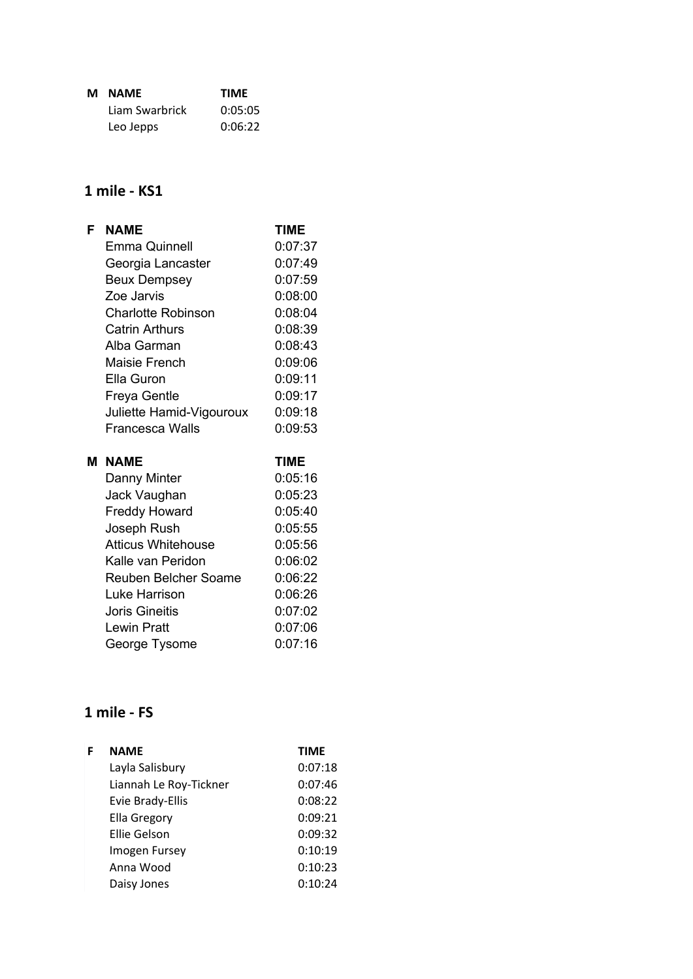| м | <b>NAME</b>    | <b>TIME</b> |
|---|----------------|-------------|
|   | Liam Swarbrick | 0:05:05     |
|   | Leo Jepps      | 0:06:22     |

## **1 mile - KS1**

| F | <b>NAME</b>                              | <b>TIME</b>        |
|---|------------------------------------------|--------------------|
|   | <b>Emma Quinnell</b>                     | 0:07:37            |
|   | Georgia Lancaster                        | 0:07:49            |
|   | <b>Beux Dempsey</b>                      | 0:07:59            |
|   | Zoe Jarvis                               | 0:08:00            |
|   | <b>Charlotte Robinson</b>                | 0:08:04            |
|   | <b>Catrin Arthurs</b>                    | 0:08:39            |
|   | Alba Garman                              | 0:08:43            |
|   | Maisie French                            | 0:09:06            |
|   | Ella Guron                               | 0:09:11            |
|   | Freya Gentle                             | 0:09:17            |
|   | Juliette Hamid-Vigouroux                 | 0:09:18            |
|   | <b>Francesca Walls</b>                   | 0:09:53            |
|   |                                          |                    |
| м | <b>NAME</b>                              | TIME               |
|   |                                          |                    |
|   | Danny Minter                             | 0:05:16<br>0:05:23 |
|   | Jack Vaughan                             | 0:05:40            |
|   | <b>Freddy Howard</b>                     | 0:05:55            |
|   | Joseph Rush<br><b>Atticus Whitehouse</b> | 0:05:56            |
|   | Kalle van Peridon                        | 0:06:02            |
|   | Reuben Belcher Soame                     | 0:06:22            |
|   | Luke Harrison                            | 0:06:26            |
|   | <b>Joris Gineitis</b>                    | 0:07:02            |
|   | <b>Lewin Pratt</b>                       | 0:07:06            |

# **1 mile - FS**

| <b>NAME</b>            | <b>TIME</b> |
|------------------------|-------------|
| Layla Salisbury        | 0:07:18     |
| Liannah Le Roy-Tickner | 0:07:46     |
| Evie Brady-Ellis       | 0:08:22     |
| <b>Ella Gregory</b>    | 0:09:21     |
| Ellie Gelson           | 0:09:32     |
| Imogen Fursey          | 0:10:19     |
| Anna Wood              | 0:10:23     |
| Daisy Jones            | 0:10:24     |